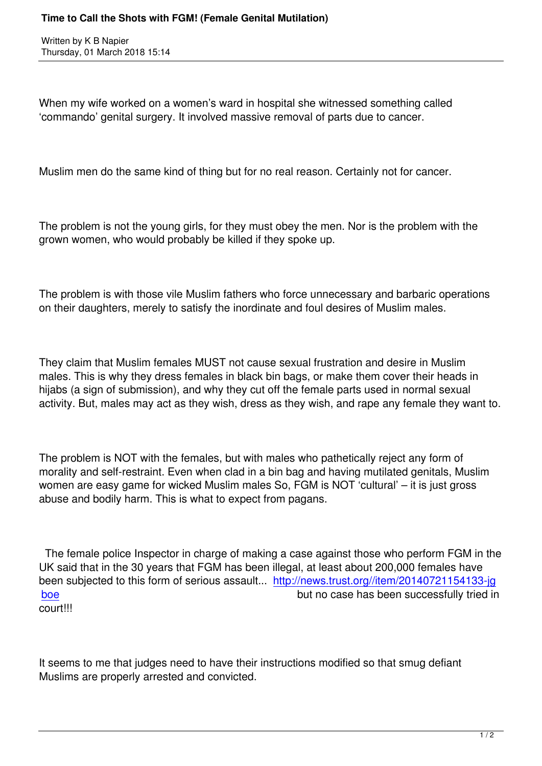When my wife worked on a women's ward in hospital she witnessed something called 'commando' genital surgery. It involved massive removal of parts due to cancer.

Muslim men do the same kind of thing but for no real reason. Certainly not for cancer.

The problem is not the young girls, for they must obey the men. Nor is the problem with the grown women, who would probably be killed if they spoke up.

The problem is with those vile Muslim fathers who force unnecessary and barbaric operations on their daughters, merely to satisfy the inordinate and foul desires of Muslim males.

They claim that Muslim females MUST not cause sexual frustration and desire in Muslim males. This is why they dress females in black bin bags, or make them cover their heads in hijabs (a sign of submission), and why they cut off the female parts used in normal sexual activity. But, males may act as they wish, dress as they wish, and rape any female they want to.

The problem is NOT with the females, but with males who pathetically reject any form of morality and self-restraint. Even when clad in a bin bag and having mutilated genitals, Muslim women are easy game for wicked Muslim males So, FGM is NOT 'cultural' – it is just gross abuse and bodily harm. This is what to expect from pagans.

 The female police Inspector in charge of making a case against those who perform FGM in the UK said that in the 30 years that FGM has been illegal, at least about 200,000 females have been subjected to this form of serious assault... http://news.trust.org//item/20140721154133-jg boe **but no case has been successfully tried in** court!!!

It seems to me that judges need to have their instructions modified so that smug defiant Muslims are properly arrested and convicted.